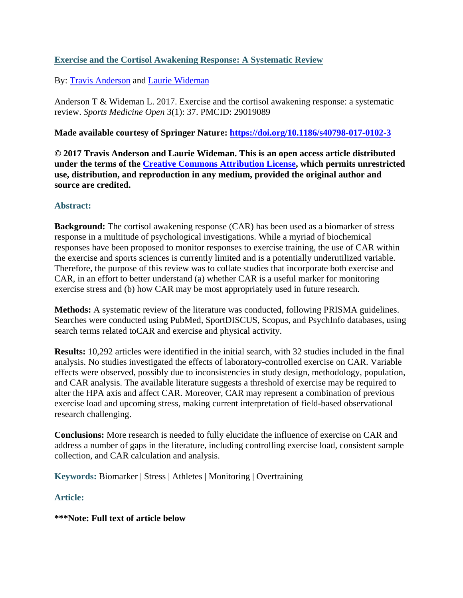# **Exercise and the Cortisol Awakening Response: A Systematic Review**

# By: [Travis Anderson](http://libres.uncg.edu/ir/uncg/clist.aspx?id=14305) and [Laurie Wideman](http://libres.uncg.edu/ir/uncg/clist.aspx?id=1444)

Anderson T & Wideman L. 2017. Exercise and the cortisol awakening response: a systematic review. *Sports Medicine Open* 3(1): 37. PMCID: 29019089

# **Made available courtesy of Springer Nature:<https://doi.org/10.1186/s40798-017-0102-3>**

**© 2017 Travis Anderson and Laurie Wideman. This is an open access article distributed under the terms of the [Creative Commons Attribution License,](https://creativecommons.org/licenses/by/4.0/) which permits unrestricted use, distribution, and reproduction in any medium, provided the original author and source are credited.**

# **Abstract:**

**Background:** The cortisol awakening response (CAR) has been used as a biomarker of stress response in a multitude of psychological investigations. While a myriad of biochemical responses have been proposed to monitor responses to exercise training, the use of CAR within the exercise and sports sciences is currently limited and is a potentially underutilized variable. Therefore, the purpose of this review was to collate studies that incorporate both exercise and CAR, in an effort to better understand (a) whether CAR is a useful marker for monitoring exercise stress and (b) how CAR may be most appropriately used in future research.

**Methods:** A systematic review of the literature was conducted, following PRISMA guidelines. Searches were conducted using PubMed, SportDISCUS, Scopus, and PsychInfo databases, using search terms related toCAR and exercise and physical activity.

**Results:** 10,292 articles were identified in the initial search, with 32 studies included in the final analysis. No studies investigated the effects of laboratory-controlled exercise on CAR. Variable effects were observed, possibly due to inconsistencies in study design, methodology, population, and CAR analysis. The available literature suggests a threshold of exercise may be required to alter the HPA axis and affect CAR. Moreover, CAR may represent a combination of previous exercise load and upcoming stress, making current interpretation of field-based observational research challenging.

**Conclusions:** More research is needed to fully elucidate the influence of exercise on CAR and address a number of gaps in the literature, including controlling exercise load, consistent sample collection, and CAR calculation and analysis.

**Keywords:** Biomarker | Stress | Athletes | Monitoring | Overtraining

**Article:**

# **\*\*\*Note: Full text of article below**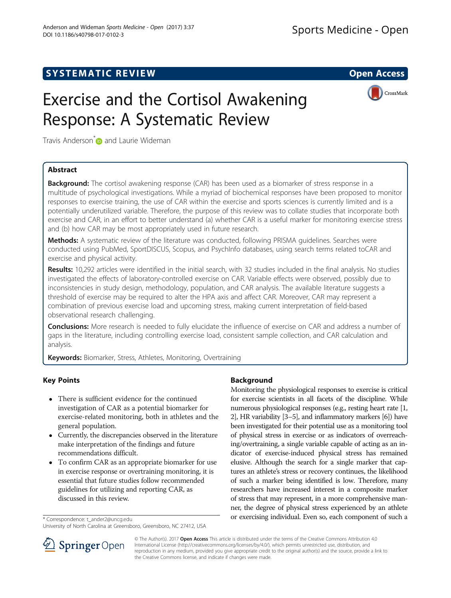# **SYSTEMATIC REVIEW ACCESS**

# Exercise and the Cortisol Awakening Response: A Systematic Review



Travis Anderson<sup>[\\*](http://orcid.org/0000-0001-5292-7877)</sup> and Laurie Wideman

# Abstract

**Background:** The cortisol awakening response (CAR) has been used as a biomarker of stress response in a multitude of psychological investigations. While a myriad of biochemical responses have been proposed to monitor responses to exercise training, the use of CAR within the exercise and sports sciences is currently limited and is a potentially underutilized variable. Therefore, the purpose of this review was to collate studies that incorporate both exercise and CAR, in an effort to better understand (a) whether CAR is a useful marker for monitoring exercise stress and (b) how CAR may be most appropriately used in future research.

Methods: A systematic review of the literature was conducted, following PRISMA guidelines. Searches were conducted using PubMed, SportDISCUS, Scopus, and PsychInfo databases, using search terms related toCAR and exercise and physical activity.

Results: 10,292 articles were identified in the initial search, with 32 studies included in the final analysis. No studies investigated the effects of laboratory-controlled exercise on CAR. Variable effects were observed, possibly due to inconsistencies in study design, methodology, population, and CAR analysis. The available literature suggests a threshold of exercise may be required to alter the HPA axis and affect CAR. Moreover, CAR may represent a combination of previous exercise load and upcoming stress, making current interpretation of field-based observational research challenging.

Conclusions: More research is needed to fully elucidate the influence of exercise on CAR and address a number of gaps in the literature, including controlling exercise load, consistent sample collection, and CAR calculation and analysis.

Keywords: Biomarker, Stress, Athletes, Monitoring, Overtraining

# Key Points

- There is sufficient evidence for the continued investigation of CAR as a potential biomarker for exercise-related monitoring, both in athletes and the general population.
- Currently, the discrepancies observed in the literature make interpretation of the findings and future recommendations difficult.
- To confirm CAR as an appropriate biomarker for use in exercise response or overtraining monitoring, it is essential that future studies follow recommended guidelines for utilizing and reporting CAR, as discussed in this review.

# **Background**

Monitoring the physiological responses to exercise is critical for exercise scientists in all facets of the discipline. While numerous physiological responses (e.g., resting heart rate [[1](#page-13-0), [2](#page-13-0)], HR variability [[3](#page-13-0)–[5\]](#page-13-0), and inflammatory markers [\[6](#page-13-0)]) have been investigated for their potential use as a monitoring tool of physical stress in exercise or as indicators of overreaching/overtraining, a single variable capable of acting as an indicator of exercise-induced physical stress has remained elusive. Although the search for a single marker that captures an athlete's stress or recovery continues, the likelihood of such a marker being identified is low. Therefore, many researchers have increased interest in a composite marker of stress that may represent, in a more comprehensive manner, the degree of physical stress experienced by an athlete \*Correspondence: [t\\_ander2@uncg.edu](mailto:t_ander2@uncg.edu) **blue and the correspondence:** t\_ander2@uncg.edu



© The Author(s). 2017 **Open Access** This article is distributed under the terms of the Creative Commons Attribution 4.0 International License ([http://creativecommons.org/licenses/by/4.0/\)](http://creativecommons.org/licenses/by/4.0/), which permits unrestricted use, distribution, and reproduction in any medium, provided you give appropriate credit to the original author(s) and the source, provide a link to the Creative Commons license, and indicate if changes were made.

University of North Carolina at Greensboro, Greensboro, NC 27412, USA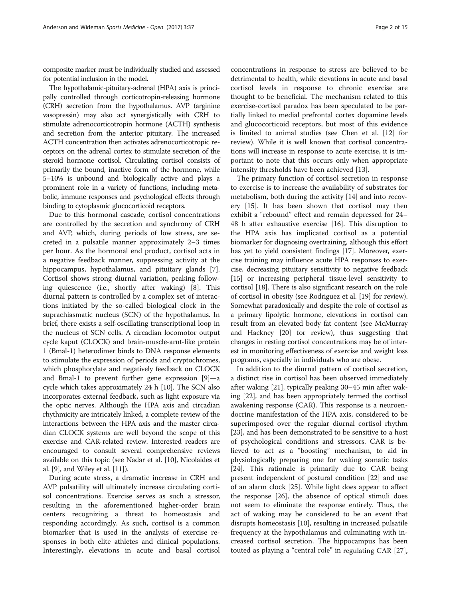composite marker must be individually studied and assessed for potential inclusion in the model.

The hypothalamic-pituitary-adrenal (HPA) axis is principally controlled through corticotropin-releasing hormone (CRH) secretion from the hypothalamus. AVP (arginine vasopressin) may also act synergistically with CRH to stimulate adrenocorticotropin hormone (ACTH) synthesis and secretion from the anterior pituitary. The increased ACTH concentration then activates adrenocorticotropic receptors on the adrenal cortex to stimulate secretion of the steroid hormone cortisol. Circulating cortisol consists of primarily the bound, inactive form of the hormone, while 5–10% is unbound and biologically active and plays a prominent role in a variety of functions, including metabolic, immune responses and psychological effects through binding to cytoplasmic glucocorticoid receptors.

Due to this hormonal cascade, cortisol concentrations are controlled by the secretion and synchrony of CRH and AVP, which, during periods of low stress, are secreted in a pulsatile manner approximately 2–3 times per hour. As the hormonal end product, cortisol acts in a negative feedback manner, suppressing activity at the hippocampus, hypothalamus, and pituitary glands [\[7](#page-13-0)]. Cortisol shows strong diurnal variation, peaking following quiescence (i.e., shortly after waking) [\[8\]](#page-13-0). This diurnal pattern is controlled by a complex set of interactions initiated by the so-called biological clock in the suprachiasmatic nucleus (SCN) of the hypothalamus. In brief, there exists a self-oscillating transcriptional loop in the nucleus of SCN cells. A circadian locomotor output cycle kaput (CLOCK) and brain-muscle-arnt-like protein 1 (Bmal-1) heterodimer binds to DNA response elements to stimulate the expression of periods and cryptochromes, which phosphorylate and negatively feedback on CLOCK and Bmal-1 to prevent further gene expression [\[9](#page-13-0)]—a cycle which takes approximately 24 h [\[10](#page-13-0)]. The SCN also incorporates external feedback, such as light exposure via the optic nerves. Although the HPA axis and circadian rhythmicity are intricately linked, a complete review of the interactions between the HPA axis and the master circadian CLOCK systems are well beyond the scope of this exercise and CAR-related review. Interested readers are encouraged to consult several comprehensive reviews available on this topic (see Nadar et al. [\[10\]](#page-13-0), Nicolaides et al. [\[9](#page-13-0)], and Wiley et al. [[11\]](#page-13-0)).

During acute stress, a dramatic increase in CRH and AVP pulsatility will ultimately increase circulating cortisol concentrations. Exercise serves as such a stressor, resulting in the aforementioned higher-order brain centers recognizing a threat to homeostasis and responding accordingly. As such, cortisol is a common biomarker that is used in the analysis of exercise responses in both elite athletes and clinical populations. Interestingly, elevations in acute and basal cortisol

concentrations in response to stress are believed to be detrimental to health, while elevations in acute and basal cortisol levels in response to chronic exercise are thought to be beneficial. The mechanism related to this exercise-cortisol paradox has been speculated to be partially linked to medial prefrontal cortex dopamine levels and glucocorticoid receptors, but most of this evidence is limited to animal studies (see Chen et al. [[12](#page-13-0)] for review). While it is well known that cortisol concentrations will increase in response to acute exercise, it is important to note that this occurs only when appropriate intensity thresholds have been achieved [[13\]](#page-13-0).

The primary function of cortisol secretion in response to exercise is to increase the availability of substrates for metabolism, both during the activity [[14\]](#page-14-0) and into recovery [[15](#page-14-0)]. It has been shown that cortisol may then exhibit a "rebound" effect and remain depressed for 24– 48 h after exhaustive exercise [[16](#page-14-0)]. This disruption to the HPA axis has implicated cortisol as a potential biomarker for diagnosing overtraining, although this effort has yet to yield consistent findings [\[17\]](#page-14-0). Moreover, exercise training may influence acute HPA responses to exercise, decreasing pituitary sensitivity to negative feedback [[15](#page-14-0)] or increasing peripheral tissue-level sensitivity to cortisol [[18](#page-14-0)]. There is also significant research on the role of cortisol in obesity (see Rodriguez et al. [\[19\]](#page-14-0) for review). Somewhat paradoxically and despite the role of cortisol as a primary lipolytic hormone, elevations in cortisol can result from an elevated body fat content (see McMurray and Hackney [\[20\]](#page-14-0) for review), thus suggesting that changes in resting cortisol concentrations may be of interest in monitoring effectiveness of exercise and weight loss programs, especially in individuals who are obese.

In addition to the diurnal pattern of cortisol secretion, a distinct rise in cortisol has been observed immediately after waking [\[21\]](#page-14-0), typically peaking 30–45 min after waking [\[22](#page-14-0)], and has been appropriately termed the cortisol awakening response (CAR). This response is a neuroendocrine manifestation of the HPA axis, considered to be superimposed over the regular diurnal cortisol rhythm [[23\]](#page-14-0), and has been demonstrated to be sensitive to a host of psychological conditions and stressors. CAR is believed to act as a "boosting" mechanism, to aid in physiologically preparing one for waking somatic tasks [[24\]](#page-14-0). This rationale is primarily due to CAR being present independent of postural condition [\[22\]](#page-14-0) and use of an alarm clock [[25\]](#page-14-0). While light does appear to affect the response [[26](#page-14-0)], the absence of optical stimuli does not seem to eliminate the response entirely. Thus, the act of waking may be considered to be an event that disrupts homeostasis [\[10\]](#page-13-0), resulting in increased pulsatile frequency at the hypothalamus and culminating with increased cortisol secretion. The hippocampus has been touted as playing a "central role" in regulating CAR [\[27](#page-14-0)],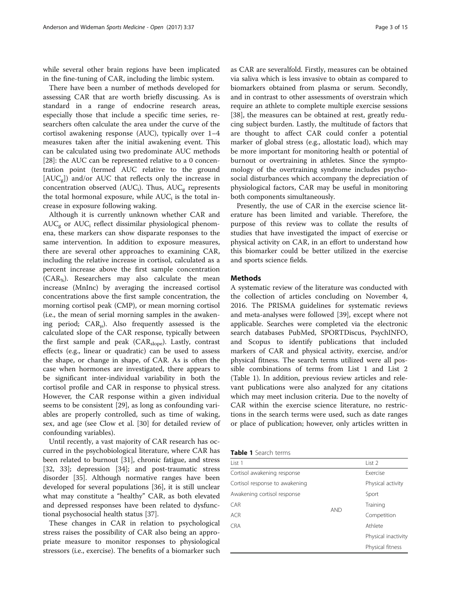while several other brain regions have been implicated in the fine-tuning of CAR, including the limbic system.

There have been a number of methods developed for assessing CAR that are worth briefly discussing. As is standard in a range of endocrine research areas, especially those that include a specific time series, researchers often calculate the area under the curve of the cortisol awakening response (AUC), typically over 1–4 measures taken after the initial awakening event. This can be calculated using two predominate AUC methods [[28\]](#page-14-0): the AUC can be represented relative to a 0 concentration point (termed AUC relative to the ground  $[AUC_{\sigma}]$ ) and/or AUC that reflects only the increase in concentration observed (AUC<sub>i</sub>). Thus, AUC<sub>g</sub> represents the total hormonal exposure, while  $AUC_i$  is the total increase in exposure following waking.

Although it is currently unknown whether CAR and  $AUC<sub>g</sub>$  or  $AUC<sub>i</sub>$  reflect dissimilar physiological phenomena, these markers can show disparate responses to the same intervention. In addition to exposure measures, there are several other approaches to examining CAR, including the relative increase in cortisol, calculated as a percent increase above the first sample concentration  $(CAR_{\%})$ . Researchers may also calculate the mean increase (MnInc) by averaging the increased cortisol concentrations above the first sample concentration, the morning cortisol peak (CMP), or mean morning cortisol (i.e., the mean of serial morning samples in the awakening period;  $CAR<sub>u</sub>$ ). Also frequently assessed is the calculated slope of the CAR response, typically between the first sample and peak (CAR<sub>slope</sub>). Lastly, contrast effects (e.g., linear or quadratic) can be used to assess the shape, or change in shape, of CAR. As is often the case when hormones are investigated, there appears to be significant inter-individual variability in both the cortisol profile and CAR in response to physical stress. However, the CAR response within a given individual seems to be consistent [[29](#page-14-0)], as long as confounding variables are properly controlled, such as time of waking, sex, and age (see Clow et al. [\[30\]](#page-14-0) for detailed review of confounding variables).

Until recently, a vast majority of CAR research has occurred in the psychobiological literature, where CAR has been related to burnout [[31\]](#page-14-0), chronic fatigue, and stress [[32, 33\]](#page-14-0); depression [[34\]](#page-14-0); and post-traumatic stress disorder [[35\]](#page-14-0). Although normative ranges have been developed for several populations [\[36](#page-14-0)], it is still unclear what may constitute a "healthy" CAR, as both elevated and depressed responses have been related to dysfunctional psychosocial health status [[37](#page-14-0)].

These changes in CAR in relation to psychological stress raises the possibility of CAR also being an appropriate measure to monitor responses to physiological stressors (i.e., exercise). The benefits of a biomarker such as CAR are severalfold. Firstly, measures can be obtained via saliva which is less invasive to obtain as compared to biomarkers obtained from plasma or serum. Secondly, and in contrast to other assessments of overstrain which require an athlete to complete multiple exercise sessions [[38\]](#page-14-0), the measures can be obtained at rest, greatly reducing subject burden. Lastly, the multitude of factors that are thought to affect CAR could confer a potential marker of global stress (e.g., allostatic load), which may be more important for monitoring health or potential of burnout or overtraining in athletes. Since the symptomology of the overtraining syndrome includes psychosocial disturbances which accompany the depreciation of physiological factors, CAR may be useful in monitoring both components simultaneously.

Presently, the use of CAR in the exercise science literature has been limited and variable. Therefore, the purpose of this review was to collate the results of studies that have investigated the impact of exercise or physical activity on CAR, in an effort to understand how this biomarker could be better utilized in the exercise and sports science fields.

## Methods

A systematic review of the literature was conducted with the collection of articles concluding on November 4, 2016. The PRISMA guidelines for systematic reviews and meta-analyses were followed [\[39\]](#page-14-0), except where not applicable. Searches were completed via the electronic search databases PubMed, SPORTDiscus, PsychINFO, and Scopus to identify publications that included markers of CAR and physical activity, exercise, and/or physical fitness. The search terms utilized were all possible combinations of terms from List 1 and List 2 (Table 1). In addition, previous review articles and relevant publications were also analyzed for any citations which may meet inclusion criteria. Due to the novelty of CAR within the exercise science literature, no restrictions in the search terms were used, such as date ranges or place of publication; however, only articles written in

|  | Table 1 Search terms |  |
|--|----------------------|--|
|  |                      |  |

| List 1                         |            | List 2              |
|--------------------------------|------------|---------------------|
| Cortisol awakening response    |            | <b>Exercise</b>     |
| Cortisol response to awakening |            | Physical activity   |
| Awakening cortisol response    |            | Sport               |
| <b>CAR</b>                     |            | Training            |
| <b>ACR</b>                     | <b>AND</b> | Competition         |
| <b>CRA</b>                     |            | Athlete             |
|                                |            | Physical inactivity |
|                                |            | Physical fitness    |
|                                |            |                     |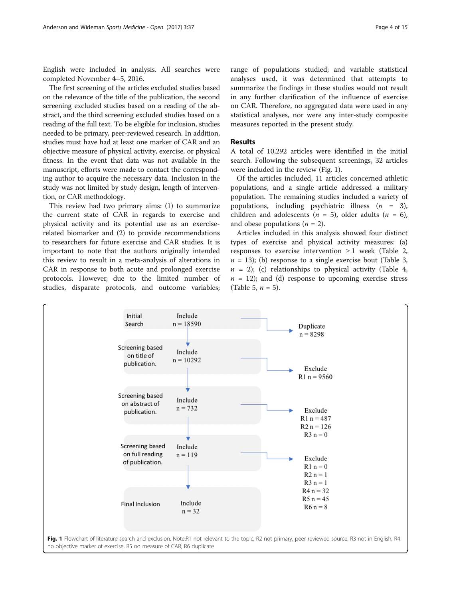English were included in analysis. All searches were completed November 4–5, 2016.

The first screening of the articles excluded studies based on the relevance of the title of the publication, the second screening excluded studies based on a reading of the abstract, and the third screening excluded studies based on a reading of the full text. To be eligible for inclusion, studies needed to be primary, peer-reviewed research. In addition, studies must have had at least one marker of CAR and an objective measure of physical activity, exercise, or physical fitness. In the event that data was not available in the manuscript, efforts were made to contact the corresponding author to acquire the necessary data. Inclusion in the study was not limited by study design, length of intervention, or CAR methodology.

This review had two primary aims: (1) to summarize the current state of CAR in regards to exercise and physical activity and its potential use as an exerciserelated biomarker and (2) to provide recommendations to researchers for future exercise and CAR studies. It is important to note that the authors originally intended this review to result in a meta-analysis of alterations in CAR in response to both acute and prolonged exercise protocols. However, due to the limited number of studies, disparate protocols, and outcome variables;

range of populations studied; and variable statistical analyses used, it was determined that attempts to summarize the findings in these studies would not result in any further clarification of the influence of exercise on CAR. Therefore, no aggregated data were used in any statistical analyses, nor were any inter-study composite measures reported in the present study.

# Results

A total of 10,292 articles were identified in the initial search. Following the subsequent screenings, 32 articles were included in the review (Fig. 1).

Of the articles included, 11 articles concerned athletic populations, and a single article addressed a military population. The remaining studies included a variety of populations, including psychiatric illness  $(n = 3)$ , children and adolescents ( $n = 5$ ), older adults ( $n = 6$ ), and obese populations  $(n = 2)$ .

Articles included in this analysis showed four distinct types of exercise and physical activity measures: (a) responses to exercise intervention  $\geq 1$  week (Table [2](#page-5-0),  $n = 13$ ); (b) response to a single exercise bout (Table [3](#page-6-0),  $n = 2$ ); (c) relationships to physical activity (Table [4](#page-7-0),  $n = 12$ ; and (d) response to upcoming exercise stress (Table [5,](#page-8-0)  $n = 5$ ).

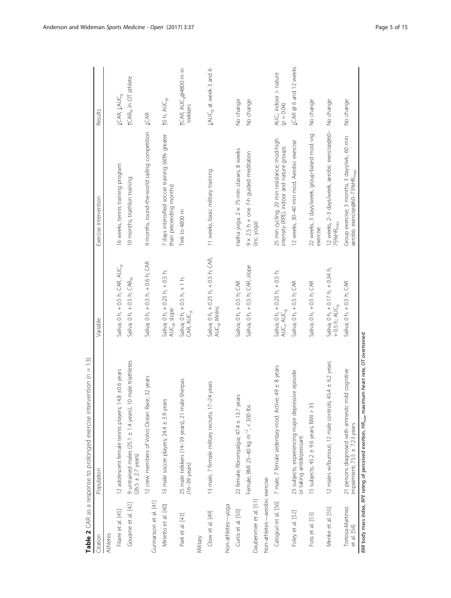<span id="page-5-0"></span>

| Citation                        | Population                                                                                     | Variable                                                             | Exercise intervention                                                                    | Results                                       |
|---------------------------------|------------------------------------------------------------------------------------------------|----------------------------------------------------------------------|------------------------------------------------------------------------------------------|-----------------------------------------------|
| <b>Athletes</b>                 |                                                                                                |                                                                      |                                                                                          |                                               |
| Filaire et al. [45]             | 14.8 $\pm$ 0.6 years<br>12 adolescent female tennis players;                                   | Saliva; 0 h, + 0.5 h; CAR, AUC <sub>9</sub>                          | 16 weeks, tennis training program                                                        | <b>JCAR, JAUC<sub>9</sub></b>                 |
| Gouarne et al. [42]             | 10 male triathletes<br>9 untrained males (25.1 ± 1.4 years),<br>$(26.5 \pm 2.7 \text{ years})$ | Saliva; 0 h, + 0.5 h; CAR <sub>%</sub>                               | 10 months, triathlon training                                                            | <b>↑CAR<sub>%</sub></b> in OT athlete         |
| Gunnarsson et al. [41]          | ce; 32 years<br>12 crew members of Volvo Ocean Ra                                              | Saliva; 0 h, + 0.3 h, + 0.6 h; CAR                                   | 9 months, round-the-world sailing competition JCAR                                       |                                               |
| Minetto et al. [40]             | 15 male soccer players; 24.4 ± 3.9 years                                                       | Saliva; 0 h, $+$ 0.25 h, $+$ 0.5 h;<br>AUC <sub>g</sub> , slope      | 7 days intensified soccer training (60% greater<br>than preceeding months)               | to h, AUC <sub>9</sub> ,                      |
| Park et al. [43]                | 25 male trekkers (14-59 years), 21 male Sherpas<br>$(16-39 \text{ years})$                     | Saliva; 0 h, + 0.5 h, + 1 h;<br>CAR, AUC <sub>9</sub>                | Trek to 4800 m                                                                           | 1CAR, AUC <sub>9</sub> @4800 m in<br>trekkers |
| Military                        |                                                                                                |                                                                      |                                                                                          |                                               |
| Clow et al. [49]                | 13 male, 7 female military recruits; 17-24 years                                               | Saliva; 0 h, +0.25 h, +0.5 h; CAR,<br>AUC <sub>9</sub> , Mnlnc       | 11 weeks, basic military training                                                        | <b>JAUC<sub>g</sub></b> at week 3 and 6       |
| Non-athletes-yoga               |                                                                                                |                                                                      |                                                                                          |                                               |
| Curtis et al. [50]              | 22 female; fibromyalgia; 47.4 ± 13.7 years                                                     | Saliva; 0 h, + 0.5 h; CAR                                            | Hatha yoga; 2 x 75-min classes, 8 weeks                                                  | No change                                     |
|                                 | Female; BMI 25-40 kg m <sup>-2</sup> , < 300 lbs                                               | Saliva; 0 h, +0.5 h; CAR, slope                                      | $9 \times 2.5$ h + one 7-h guided meditation                                             | No change                                     |
| Daubenmier et al. [51]          |                                                                                                |                                                                      | (inc.yoga)                                                                               |                                               |
| Non-athletes-aerobic exercise   |                                                                                                |                                                                      |                                                                                          |                                               |
| Calogiuri et al. [56]           | 7 male, 7 female sedentary-mod. Active; 49 ± 8 years                                           | Saliva; 0 h, +0.25 h, +0.5 h;<br>AUC <sub>i</sub> , AUC <sub>a</sub> | 25 min cycling, 20 min resistance; mod-high<br>intensity (RPE), indoor and nature groups | AUC; indoor > nature<br>$(600 - 0)$           |
| Foley et al. [52]               | 23 subjects, experiencing major depressive episode<br>or taking antidepressant                 | Saliva; 0 h, +0.5 h; CAR                                             | 12 weeks, 30-40 min mod. Aerobic exercise                                                | <b>JCAR</b> @ 6 and 12 weeks                  |
| Foss et al. [53]                | 15 subjects; $45.2 \pm 9.6$ years; $B/M \geq 35$                                               | Saliva; 0 h, +0.5 h; CAR                                             | 22 weeks, 3 days/week, group-based mod.-vig.<br>exercise                                 | No change                                     |
| Menke et al. [55]               | 12 males w/burnout; 12 male controls; 45.4 ± 6.2 years                                         | Saliva; 0 h, $+$ 0.17 h, $+$ 0.34 h,<br>$+0.5$ h; AUC <sub>9</sub>   | 12 weeks, 2-3 days/week, aerobic exercise@60- No change<br>75%HR <sub>max</sub>          |                                               |
| Tortosa-Martinez<br>et al. [54] | mild cognitive<br>21 persons diagnosed with amnestic<br>impairment; 75.5 ± 7.23 years          | Saliva; 0 h, +0.5 h; CAR                                             | Group exercise; 3 months, 3 days/wk., 60 min<br>aerobic exercise@60-75%HR <sub>max</sub> | No change                                     |

BMI body mass index, RPE rating of perceived exertion,  $HR_{max}$  maximum heart rate, OT overtrained BMI body mass index, RPE rating of perceived exertion,  $HR_{max}$  maximum heart rate, OT overtrained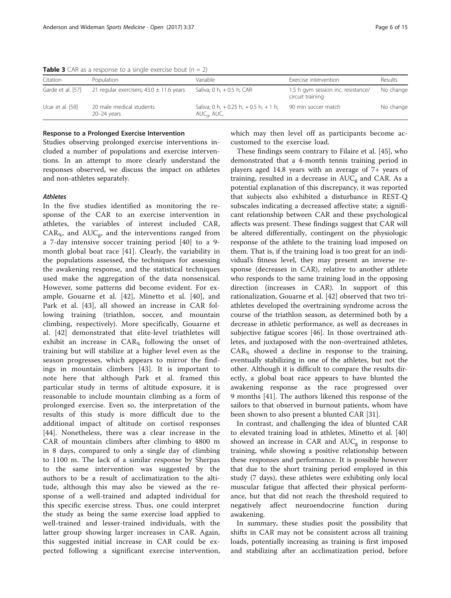|                   | <b>I where</b> $\bullet$ $\bullet$ in the $\bullet$ is the state of the simple $\bullet$ . Then the state is the state of $\bullet$ |                                                                            |                                                        |           |
|-------------------|-------------------------------------------------------------------------------------------------------------------------------------|----------------------------------------------------------------------------|--------------------------------------------------------|-----------|
| Citation          | Population                                                                                                                          | Variable                                                                   | Exercise intervention                                  | Results   |
| Garde et al. [57] | 21 regular exercisers; $43.0 \pm 11.6$ years                                                                                        | Saliva: 0 h, $+$ 0.5 h; CAR                                                | 1.5 h gym session inc. resistance/<br>circuit training | No change |
| Ucar et al. [58]  | 20 male medical students<br>$20 - 24$ years                                                                                         | Saliva; 0 h, $+$ 0.25 h, $+$ 0.5 h, $+$ 1 h;<br>$AUC_{\alpha}$ , $AUC_{i}$ | 90 min soccer match                                    | No change |

<span id="page-6-0"></span>**Table 3** CAR as a response to a single exercise bout  $(n = 2)$ 

### Response to a Prolonged Exercise Intervention

Studies observing prolonged exercise interventions included a number of populations and exercise interventions. In an attempt to more clearly understand the responses observed, we discuss the impact on athletes and non-athletes separately.

## **Athletes**

In the five studies identified as monitoring the response of the CAR to an exercise intervention in athletes, the variables of interest included CAR,  $CAR_{\%}$ , and  $AUC_{\alpha}$ , and the interventions ranged from a 7-day intensive soccer training period [[40\]](#page-14-0) to a 9 month global boat race [[41\]](#page-14-0). Clearly, the variability in the populations assessed, the techniques for assessing the awakening response, and the statistical techniques used make the aggregation of the data nonsensical. However, some patterns did become evident. For example, Gouarne et al. [[42\]](#page-14-0), Minetto et al. [\[40](#page-14-0)], and Park et al. [\[43](#page-14-0)], all showed an increase in CAR following training (triathlon, soccer, and mountain climbing, respectively). More specifically, Gouarne et al. [[42\]](#page-14-0) demonstrated that elite-level triathletes will exhibit an increase in CAR<sub>%</sub> following the onset of training but will stabilize at a higher level even as the season progresses, which appears to mirror the findings in mountain climbers [\[43](#page-14-0)]. It is important to note here that although Park et al. framed this particular study in terms of altitude exposure, it is reasonable to include mountain climbing as a form of prolonged exercise. Even so, the interpretation of the results of this study is more difficult due to the additional impact of altitude on cortisol responses [[44\]](#page-14-0). Nonetheless, there was a clear increase in the CAR of mountain climbers after climbing to 4800 m in 8 days, compared to only a single day of climbing to 1100 m. The lack of a similar response by Sherpas to the same intervention was suggested by the authors to be a result of acclimatization to the altitude, although this may also be viewed as the response of a well-trained and adapted individual for this specific exercise stress. Thus, one could interpret the study as being the same exercise load applied to well-trained and lesser-trained individuals, with the latter group showing larger increases in CAR. Again, this suggested initial increase in CAR could be expected following a significant exercise intervention, which may then level off as participants become accustomed to the exercise load.

These findings seem contrary to Filaire et al. [\[45\]](#page-14-0), who demonstrated that a 4-month tennis training period in players aged 14.8 years with an average of 7+ years of training, resulted in a decrease in  $AUC_{\sigma}$  and CAR. As a potential explanation of this discrepancy, it was reported that subjects also exhibited a disturbance in REST-Q subscales indicating a decreased affective state; a significant relationship between CAR and these psychological affects was present. These findings suggest that CAR will be altered differentially, contingent on the physiologic response of the athlete to the training load imposed on them. That is, if the training load is too great for an individual's fitness level, they may present an inverse response (decreases in CAR), relative to another athlete who responds to the same training load in the opposing direction (increases in CAR). In support of this rationalization, Gouarne et al. [\[42\]](#page-14-0) observed that two triathletes developed the overtraining syndrome across the course of the triathlon season, as determined both by a decrease in athletic performance, as well as decreases in subjective fatigue scores [\[46](#page-14-0)]. In those overtrained athletes, and juxtaposed with the non-overtrained athletes,  $CAR_{\alpha}$  showed a decline in response to the training, eventually stabilizing in one of the athletes, but not the other. Although it is difficult to compare the results directly, a global boat race appears to have blunted the awakening response as the race progressed over 9 months [[41\]](#page-14-0). The authors likened this response of the sailors to that observed in burnout patients, whom have been shown to also present a blunted CAR [[31\]](#page-14-0).

In contrast, and challenging the idea of blunted CAR to elevated training load in athletes, Minetto et al. [[40](#page-14-0)] showed an increase in CAR and  $AUC<sub>g</sub>$  in response to training, while showing a positive relationship between these responses and performance. It is possible however that due to the short training period employed in this study (7 days), these athletes were exhibiting only local muscular fatigue that affected their physical performance, but that did not reach the threshold required to negatively affect neuroendocrine function during awakening.

In summary, these studies posit the possibility that shifts in CAR may not be consistent across all training loads, potentially increasing as training is first imposed and stabilizing after an acclimatization period, before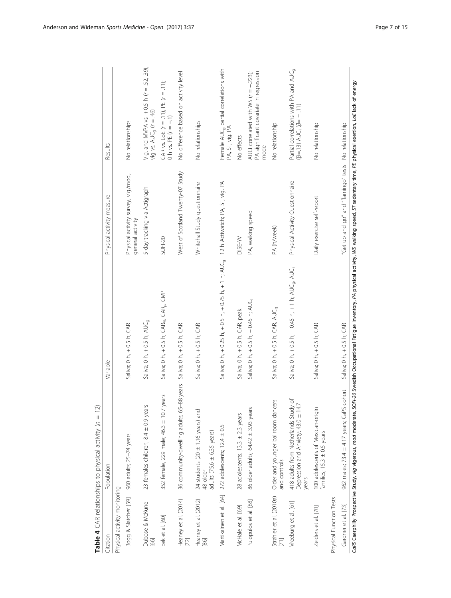| Citation                       | Population                                                                           | Variable                                                                                      | Physical activity measure                                | Results                                                                                                |
|--------------------------------|--------------------------------------------------------------------------------------|-----------------------------------------------------------------------------------------------|----------------------------------------------------------|--------------------------------------------------------------------------------------------------------|
| Physical activity monitoring   |                                                                                      |                                                                                               |                                                          |                                                                                                        |
| Bogg & Slatcher [59]           | 960 adults; 25-74 years                                                              | Saliva; 0 h, +0.5 h; CAR                                                                      | Physical activity survey, vig./mod.,<br>general activity | No relationships                                                                                       |
| Dubose & McKune<br>[66]        | 23 females children; 8.4 ± 0.9 years                                                 | Saliva; 0 h, +0.5 h; AUC <sub>9</sub>                                                         | 5-day tracking via Actigraph                             | Vig. and MVPA vs. $+$ 0.5 h ( $r = 0.5$ , 39),<br>vig vs. $AUC_g$ ( $r = .46$ )                        |
| Eek et al. [60]                | 352 female, 229 male; 46.3 ± 10.7 years                                              | Saliva; 0 h, + 0.5 h; $CAR_{\delta_o}$ , CAR $_\omega$ , CMP                                  | SOF1-20                                                  | CAR vs. LoE $(r = .11)$ , PE $(r = .11)$ ;<br>0 h vs. PE $(r = -.1)$                                   |
| Heaney et al. (2014)<br>[72]   | 36 community-dwelling adults; 65-88 years                                            | Saliva; 0 h, + 0.5 h; CAR                                                                     | West of Scotland Twenty-07 Study                         | No difference based on activity level                                                                  |
| Heaney et al. (2012)<br>$[86]$ | 24 students (20 $\pm$ 1.16 years) and<br>adults (75.6 $\pm$ 6.35 years)<br>48 older  | Saliva; 0 h, +0.5 h; CAR                                                                      | Whitehall Study questionnaire                            | No relationships                                                                                       |
|                                | Martikainen et al. [64] 272 adolescents; 12.4 ± 0.5                                  | Saliva; 0 h, +0.25 h, +0.5 h, +0.75 h, +1 h; AUC <sub>9</sub> 12 h Actiwatch; PA, ST, vig. PA |                                                          | Female AUC <sub>9</sub> partial correlations with<br>PA, ST, vig. PA                                   |
| McHale et al. [69]             | 28 adolescents; $13.3 \pm 2.3$ years                                                 | Saliva; 0 h, + 0.5 h; CAR, peak                                                               | DISE-YV                                                  | No effects                                                                                             |
| Pulopulos et al. [68]          | 86 older adults; 64.42 ± 3.93 years                                                  | Saliva; 0 h, $+$ 0.5 h, $+$ 0.45 h; AUG                                                       | PA, walking speed                                        | PA significant covariate in regression<br>AUCi correlated with WS $(r = -223)$ ;<br>model              |
| Strahler et al. (2010a)        | Older and younger ballroom dancers<br>and controls                                   | Saliva; 0 h, + 0.5 h; CAR, AUC <sub>q</sub>                                                   | PA (h/week)                                              | No relationship                                                                                        |
| Vreeburg et al. [61]           | 418 adults from Netherlands Study of<br>Depression and Anxiety; 43.0 ± 14.7<br>years | Saliva; 0 h, + 0.5 h, + 0.45 h, + 1 h; AUC <sub>9</sub> , AUC <sub>1</sub>                    | Physical Activity Questionnaire                          | Partial correlations with PA and AUC <sub>9</sub><br>$(\beta = .13)$ AUC <sub>i</sub> $(\beta = -.11)$ |
| Zeiders et al. [70]            | 100 adolescents of Mexican-origin<br>families; 15.3 ± 0.5 years                      | Saliva; 0 h, +0.5 h; CAR                                                                      | Daily exercise self-report                               | No relationship                                                                                        |
| Physical Function Tests        |                                                                                      |                                                                                               |                                                          |                                                                                                        |
| Gardner et al. [73]            | 962 males; 73.4 ± 4.17 years; CaPS cohort                                            | Saliva; 0 h, + 0.5 h; CAR                                                                     | "Get up and go" and "flamingo" tests No relationship     |                                                                                                        |

<span id="page-7-0"></span>Anderson and Wideman Sports Medicine - Open (2017) 3:37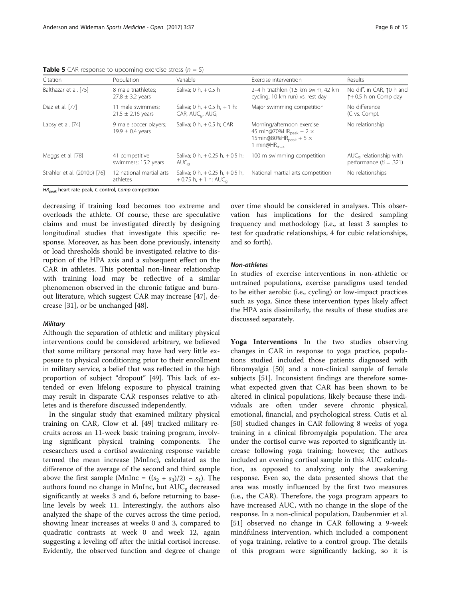<span id="page-8-0"></span>**Table 5** CAR response to upcoming exercise stress ( $n = 5$ )

| Citation                     | Population                                     | Variable                                                                   | Exercise intervention                                                                                                                        | Results                                                           |
|------------------------------|------------------------------------------------|----------------------------------------------------------------------------|----------------------------------------------------------------------------------------------------------------------------------------------|-------------------------------------------------------------------|
| Balthazar et al. [75]        | 8 male triathletes:<br>$27.8 \pm 3.2$ years    | Saliva; 0 h, $+$ 0.5 h                                                     | 2-4 h triathlon (1.5 km swim, 42 km<br>cycling, 10 km run) vs. rest day                                                                      | No diff. in CAR, 10 h and<br>$\uparrow$ + 0.5 h on Comp day       |
| Diaz et al. [77]             | 11 male swimmers;<br>$21.5 \pm 2.16$ years     | Saliva; 0 h, $+$ 0.5 h, $+$ 1 h;<br>$CAR, AUC_{\alpha} AUG_{i}$            | Major swimming competition                                                                                                                   | No difference<br>(C vs. Comp).                                    |
| Labsy et al. [74]            | 9 male soccer players;<br>$19.9 \pm 0.4$ years | Saliva; 0 h, $+$ 0.5 h; CAR                                                | Morning/afternoon exercise<br>45 min@70%HR $_{\rm peak}$ + 2 $\times$<br>15min@80%HR <sub>peak</sub> + 5 $\times$<br>1 min@HR <sub>max</sub> | No relationship                                                   |
| Meggs et al. [78]            | 41 competitive<br>swimmers; 15.2 years         | Saliva; 0 h, $+$ 0.25 h, $+$ 0.5 h;<br>$AUC_{\alpha}$                      | 100 m swimming competition                                                                                                                   | $AUC_{\alpha}$ relationship with<br>performance ( $\beta$ = .321) |
| Strahler et al. (2010b) [76] | 12 national martial arts<br>athletes           | Saliva; 0 h, $+$ 0.25 h, $+$ 0.5 h,<br>$+0.75$ h, $+1$ h; AUC <sub>a</sub> | National martial arts competition                                                                                                            | No relationships                                                  |

 $HR_{peak}$  heart rate peak, C control, Comp competition

decreasing if training load becomes too extreme and overloads the athlete. Of course, these are speculative claims and must be investigated directly by designing longitudinal studies that investigate this specific response. Moreover, as has been done previously, intensity or load thresholds should be investigated relative to disruption of the HPA axis and a subsequent effect on the CAR in athletes. This potential non-linear relationship with training load may be reflective of a similar phenomenon observed in the chronic fatigue and burnout literature, which suggest CAR may increase [\[47\]](#page-14-0), decrease [[31\]](#page-14-0), or be unchanged [[48\]](#page-14-0).

## **Military**

Although the separation of athletic and military physical interventions could be considered arbitrary, we believed that some military personal may have had very little exposure to physical conditioning prior to their enrollment in military service, a belief that was reflected in the high proportion of subject "dropout" [[49](#page-14-0)]. This lack of extended or even lifelong exposure to physical training may result in disparate CAR responses relative to athletes and is therefore discussed independently.

In the singular study that examined military physical training on CAR, Clow et al. [\[49](#page-14-0)] tracked military recruits across an 11-week basic training program, involving significant physical training components. The researchers used a cortisol awakening response variable termed the mean increase (MnInc), calculated as the difference of the average of the second and third sample above the first sample (MnInc =  $((s_2 + s_3)/2) - s_1$ ). The authors found no change in MnInc, but  $AUC_{g}$  decreased significantly at weeks 3 and 6, before returning to baseline levels by week 11. Interestingly, the authors also analyzed the shape of the curves across the time period, showing linear increases at weeks 0 and 3, compared to quadratic contrasts at week 0 and week 12, again suggesting a leveling off after the initial cortisol increase. Evidently, the observed function and degree of change

over time should be considered in analyses. This observation has implications for the desired sampling frequency and methodology (i.e., at least 3 samples to test for quadratic relationships, 4 for cubic relationships, and so forth).

## Non-athletes

In studies of exercise interventions in non-athletic or untrained populations, exercise paradigms used tended to be either aerobic (i.e., cycling) or low-impact practices such as yoga. Since these intervention types likely affect the HPA axis dissimilarly, the results of these studies are discussed separately.

Yoga Interventions In the two studies observing changes in CAR in response to yoga practice, populations studied included those patients diagnosed with fibromyalgia [[50](#page-14-0)] and a non-clinical sample of female subjects [[51\]](#page-14-0). Inconsistent findings are therefore somewhat expected given that CAR has been shown to be altered in clinical populations, likely because these individuals are often under severe chronic physical, emotional, financial, and psychological stress. Cutis et al. [[50\]](#page-14-0) studied changes in CAR following 8 weeks of yoga training in a clinical fibromyalgia population. The area under the cortisol curve was reported to significantly increase following yoga training; however, the authors included an evening cortisol sample in this AUC calculation, as opposed to analyzing only the awakening response. Even so, the data presented shows that the area was mostly influenced by the first two measures (i.e., the CAR). Therefore, the yoga program appears to have increased AUC, with no change in the slope of the response. In a non-clinical population, Daubenmier et al. [[51\]](#page-14-0) observed no change in CAR following a 9-week mindfulness intervention, which included a component of yoga training, relative to a control group. The details of this program were significantly lacking, so it is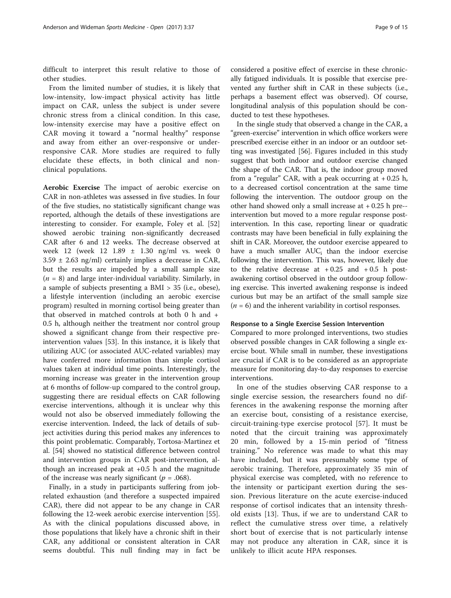difficult to interpret this result relative to those of other studies.

From the limited number of studies, it is likely that low-intensity, low-impact physical activity has little impact on CAR, unless the subject is under severe chronic stress from a clinical condition. In this case, low-intensity exercise may have a positive effect on CAR moving it toward a "normal healthy" response and away from either an over-responsive or underresponsive CAR. More studies are required to fully elucidate these effects, in both clinical and nonclinical populations.

Aerobic Exercise The impact of aerobic exercise on CAR in non-athletes was assessed in five studies. In four of the five studies, no statistically significant change was reported, although the details of these investigations are interesting to consider. For example, Foley et al. [[52](#page-14-0)] showed aerobic training non-significantly decreased CAR after 6 and 12 weeks. The decrease observed at week 12 (week 12 1.89 ± 1.30 ng/ml vs. week 0  $3.59 \pm 2.63$  ng/ml) certainly implies a decrease in CAR, but the results are impeded by a small sample size  $(n = 8)$  and large inter-individual variability. Similarly, in a sample of subjects presenting a BMI > 35 (i.e., obese), a lifestyle intervention (including an aerobic exercise program) resulted in morning cortisol being greater than that observed in matched controls at both 0 h and + 0.5 h, although neither the treatment nor control group showed a significant change from their respective preintervention values [\[53\]](#page-14-0). In this instance, it is likely that utilizing AUC (or associated AUC-related variables) may have conferred more information than simple cortisol values taken at individual time points. Interestingly, the morning increase was greater in the intervention group at 6 months of follow-up compared to the control group, suggesting there are residual effects on CAR following exercise interventions, although it is unclear why this would not also be observed immediately following the exercise intervention. Indeed, the lack of details of subject activities during this period makes any inferences to this point problematic. Comparably, Tortosa-Martinez et al. [[54](#page-14-0)] showed no statistical difference between control and intervention groups in CAR post-intervention, although an increased peak at  $+0.5$  h and the magnitude of the increase was nearly significant ( $p = .068$ ).

Finally, in a study in participants suffering from jobrelated exhaustion (and therefore a suspected impaired CAR), there did not appear to be any change in CAR following the 12-week aerobic exercise intervention [\[55](#page-14-0)]. As with the clinical populations discussed above, in those populations that likely have a chronic shift in their CAR, any additional or consistent alteration in CAR seems doubtful. This null finding may in fact be

considered a positive effect of exercise in these chronically fatigued individuals. It is possible that exercise prevented any further shift in CAR in these subjects (i.e., perhaps a basement effect was observed). Of course, longitudinal analysis of this population should be conducted to test these hypotheses.

In the single study that observed a change in the CAR, a "green-exercise" intervention in which office workers were prescribed exercise either in an indoor or an outdoor setting was investigated [\[56\]](#page-14-0). Figures included in this study suggest that both indoor and outdoor exercise changed the shape of the CAR. That is, the indoor group moved from a "regular" CAR, with a peak occurring at  $+0.25$  h, to a decreased cortisol concentration at the same time following the intervention. The outdoor group on the other hand showed only a small increase at  $+0.25$  h pre-intervention but moved to a more regular response postintervention. In this case, reporting linear or quadratic contrasts may have been beneficial in fully explaining the shift in CAR. Moreover, the outdoor exercise appeared to have a much smaller AUC<sub>i</sub> than the indoor exercise following the intervention. This was, however, likely due to the relative decrease at  $+0.25$  and  $+0.5$  h postawakening cortisol observed in the outdoor group following exercise. This inverted awakening response is indeed curious but may be an artifact of the small sample size  $(n = 6)$  and the inherent variability in cortisol responses.

## Response to a Single Exercise Session Intervention

Compared to more prolonged interventions, two studies observed possible changes in CAR following a single exercise bout. While small in number, these investigations are crucial if CAR is to be considered as an appropriate measure for monitoring day-to-day responses to exercise interventions.

In one of the studies observing CAR response to a single exercise session, the researchers found no differences in the awakening response the morning after an exercise bout, consisting of a resistance exercise, circuit-training-type exercise protocol [\[57](#page-14-0)]. It must be noted that the circuit training was approximately 20 min, followed by a 15-min period of "fitness training." No reference was made to what this may have included, but it was presumably some type of aerobic training. Therefore, approximately 35 min of physical exercise was completed, with no reference to the intensity or participant exertion during the session. Previous literature on the acute exercise-induced response of cortisol indicates that an intensity threshold exists [[13\]](#page-13-0). Thus, if we are to understand CAR to reflect the cumulative stress over time, a relatively short bout of exercise that is not particularly intense may not produce any alteration in CAR, since it is unlikely to illicit acute HPA responses.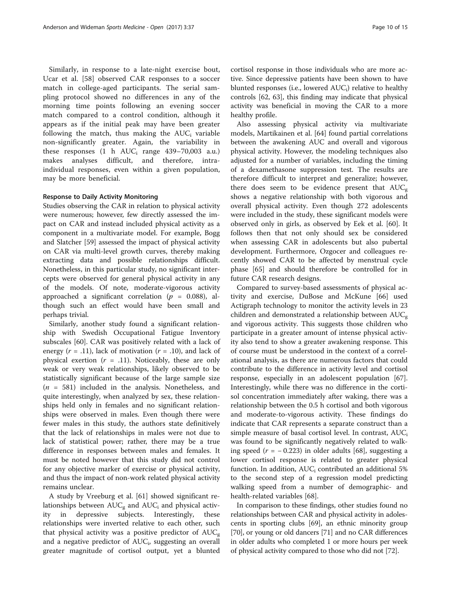Similarly, in response to a late-night exercise bout, Ucar et al. [\[58](#page-14-0)] observed CAR responses to a soccer match in college-aged participants. The serial sampling protocol showed no differences in any of the morning time points following an evening soccer match compared to a control condition, although it appears as if the initial peak may have been greater following the match, thus making the  $AUC_i$  variable non-significantly greater. Again, the variability in these responses  $(1 \text{ h AUC}_i \text{ range } 439 - 70,003 \text{ a.u.})$ makes analyses difficult, and therefore, intraindividual responses, even within a given population, may be more beneficial.

## Response to Daily Activity Monitoring

Studies observing the CAR in relation to physical activity were numerous; however, few directly assessed the impact on CAR and instead included physical activity as a component in a multivariate model. For example, Bogg and Slatcher [\[59](#page-14-0)] assessed the impact of physical activity on CAR via multi-level growth curves, thereby making extracting data and possible relationships difficult. Nonetheless, in this particular study, no significant intercepts were observed for general physical activity in any of the models. Of note, moderate-vigorous activity approached a significant correlation ( $p = 0.088$ ), although such an effect would have been small and perhaps trivial.

Similarly, another study found a significant relationship with Swedish Occupational Fatigue Inventory subscales [[60\]](#page-14-0). CAR was positively related with a lack of energy  $(r = .11)$ , lack of motivation  $(r = .10)$ , and lack of physical exertion  $(r = .11)$ . Noticeably, these are only weak or very weak relationships, likely observed to be statistically significant because of the large sample size  $(n = 581)$  included in the analysis. Nonetheless, and quite interestingly, when analyzed by sex, these relationships held only in females and no significant relationships were observed in males. Even though there were fewer males in this study, the authors state definitively that the lack of relationships in males were not due to lack of statistical power; rather, there may be a true difference in responses between males and females. It must be noted however that this study did not control for any objective marker of exercise or physical activity, and thus the impact of non-work related physical activity remains unclear.

A study by Vreeburg et al. [[61](#page-14-0)] showed significant relationships between  $AUC<sub>g</sub>$  and  $AUC<sub>i</sub>$  and physical activity in depressive subjects. Interestingly, these relationships were inverted relative to each other, such that physical activity was a positive predictor of  $AUC_{\alpha}$ and a negative predictor of  $AUC_i$ , suggesting an overall greater magnitude of cortisol output, yet a blunted

cortisol response in those individuals who are more active. Since depressive patients have been shown to have blunted responses (i.e., lowered  $AUC_i$ ) relative to healthy controls [[62,](#page-14-0) [63](#page-15-0)], this finding may indicate that physical activity was beneficial in moving the CAR to a more healthy profile.

Also assessing physical activity via multivariate models, Martikainen et al. [\[64](#page-15-0)] found partial correlations between the awakening AUC and overall and vigorous physical activity. However, the modeling techniques also adjusted for a number of variables, including the timing of a dexamethasone suppression test. The results are therefore difficult to interpret and generalize; however, there does seem to be evidence present that  $AUC_{g}$ shows a negative relationship with both vigorous and overall physical activity. Even though 272 adolescents were included in the study, these significant models were observed only in girls, as observed by Eek et al. [\[60](#page-14-0)]. It follows then that not only should sex be considered when assessing CAR in adolescents but also pubertal development. Furthermore, Ozgocer and colleagues recently showed CAR to be affected by menstrual cycle phase [[65](#page-15-0)] and should therefore be controlled for in future CAR research designs.

Compared to survey-based assessments of physical activity and exercise, DuBose and McKune [\[66\]](#page-15-0) used Actigraph technology to monitor the activity levels in 23 children and demonstrated a relationship between  $AUC_{g}$ and vigorous activity. This suggests those children who participate in a greater amount of intense physical activity also tend to show a greater awakening response. This of course must be understood in the context of a correlational analysis, as there are numerous factors that could contribute to the difference in activity level and cortisol response, especially in an adolescent population [\[67](#page-15-0)]. Interestingly, while there was no difference in the cortisol concentration immediately after waking, there was a relationship between the 0.5 h cortisol and both vigorous and moderate-to-vigorous activity. These findings do indicate that CAR represents a separate construct than a simple measure of basal cortisol level. In contrast,  $AUC_i$ was found to be significantly negatively related to walking speed ( $r = -0.223$ ) in older adults [[68](#page-15-0)], suggesting a lower cortisol response is related to greater physical function. In addition,  $AUC_i$  contributed an additional 5% to the second step of a regression model predicting walking speed from a number of demographic- and health-related variables [[68\]](#page-15-0).

In comparison to these findings, other studies found no relationships between CAR and physical activity in adolescents in sporting clubs [[69](#page-15-0)], an ethnic minority group [[70](#page-15-0)], or young or old dancers [\[71\]](#page-15-0) and no CAR differences in older adults who completed 1 or more hours per week of physical activity compared to those who did not [\[72\]](#page-15-0).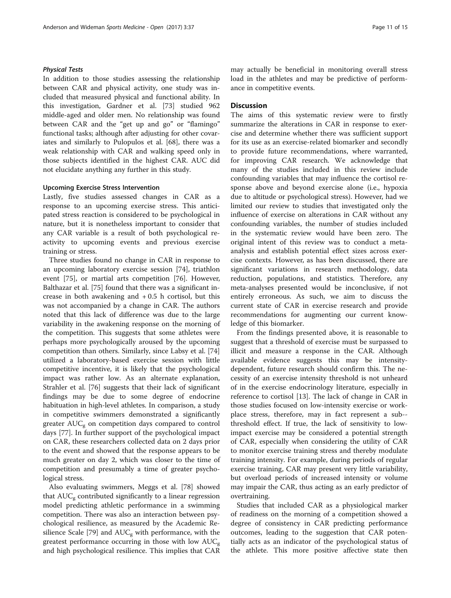# Physical Tests

In addition to those studies assessing the relationship between CAR and physical activity, one study was included that measured physical and functional ability. In this investigation, Gardner et al. [[73\]](#page-15-0) studied 962 middle-aged and older men. No relationship was found between CAR and the "get up and go" or "flamingo" functional tasks; although after adjusting for other covariates and similarly to Pulopulos et al. [\[68](#page-15-0)], there was a weak relationship with CAR and walking speed only in those subjects identified in the highest CAR. AUC did not elucidate anything any further in this study.

## Upcoming Exercise Stress Intervention

Lastly, five studies assessed changes in CAR as a response to an upcoming exercise stress. This anticipated stress reaction is considered to be psychological in nature, but it is nonetheless important to consider that any CAR variable is a result of both psychological reactivity to upcoming events and previous exercise training or stress.

Three studies found no change in CAR in response to an upcoming laboratory exercise session [[74](#page-15-0)], triathlon event [[75\]](#page-15-0), or martial arts competition [\[76](#page-15-0)]. However, Balthazar et al. [\[75](#page-15-0)] found that there was a significant increase in both awakening and  $+0.5$  h cortisol, but this was not accompanied by a change in CAR. The authors noted that this lack of difference was due to the large variability in the awakening response on the morning of the competition. This suggests that some athletes were perhaps more psychologically aroused by the upcoming competition than others. Similarly, since Labsy et al. [[74](#page-15-0)] utilized a laboratory-based exercise session with little competitive incentive, it is likely that the psychological impact was rather low. As an alternate explanation, Strahler et al. [\[76\]](#page-15-0) suggests that their lack of significant findings may be due to some degree of endocrine habituation in high-level athletes. In comparison, a study in competitive swimmers demonstrated a significantly greater  $AUC_{g}$  on competition days compared to control days [[77\]](#page-15-0). In further support of the psychological impact on CAR, these researchers collected data on 2 days prior to the event and showed that the response appears to be much greater on day 2, which was closer to the time of competition and presumably a time of greater psychological stress.

Also evaluating swimmers, Meggs et al. [\[78](#page-15-0)] showed that  $AUC<sub>g</sub>$  contributed significantly to a linear regression model predicting athletic performance in a swimming competition. There was also an interaction between psychological resilience, as measured by the Academic Re-silience Scale [\[79\]](#page-15-0) and  $AUC<sub>g</sub>$  with performance, with the greatest performance occurring in those with low  $AUC_{g}$ and high psychological resilience. This implies that CAR may actually be beneficial in monitoring overall stress load in the athletes and may be predictive of performance in competitive events.

# **Discussion**

The aims of this systematic review were to firstly summarize the alterations in CAR in response to exercise and determine whether there was sufficient support for its use as an exercise-related biomarker and secondly to provide future recommendations, where warranted, for improving CAR research. We acknowledge that many of the studies included in this review include confounding variables that may influence the cortisol response above and beyond exercise alone (i.e., hypoxia due to altitude or psychological stress). However, had we limited our review to studies that investigated only the influence of exercise on alterations in CAR without any confounding variables, the number of studies included in the systematic review would have been zero. The original intent of this review was to conduct a metaanalysis and establish potential effect sizes across exercise contexts. However, as has been discussed, there are significant variations in research methodology, data reduction, populations, and statistics. Therefore, any meta-analyses presented would be inconclusive, if not entirely erroneous. As such, we aim to discuss the current state of CAR in exercise research and provide recommendations for augmenting our current knowledge of this biomarker.

From the findings presented above, it is reasonable to suggest that a threshold of exercise must be surpassed to illicit and measure a response in the CAR. Although available evidence suggests this may be intensitydependent, future research should confirm this. The necessity of an exercise intensity threshold is not unheard of in the exercise endocrinology literature, especially in reference to cortisol [[13](#page-13-0)]. The lack of change in CAR in those studies focused on low-intensity exercise or workplace stress, therefore, may in fact represent a sub- threshold effect. If true, the lack of sensitivity to lowimpact exercise may be considered a potential strength of CAR, especially when considering the utility of CAR to monitor exercise training stress and thereby modulate training intensity. For example, during periods of regular exercise training, CAR may present very little variability, but overload periods of increased intensity or volume may impair the CAR, thus acting as an early predictor of overtraining.

Studies that included CAR as a physiological marker of readiness on the morning of a competition showed a degree of consistency in CAR predicting performance outcomes, leading to the suggestion that CAR potentially acts as an indicator of the psychological status of the athlete. This more positive affective state then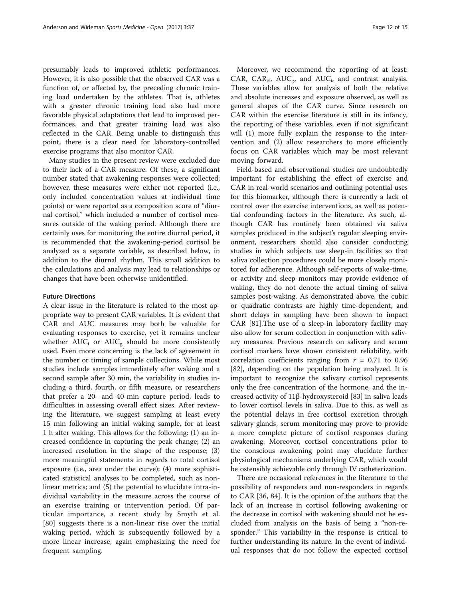presumably leads to improved athletic performances. However, it is also possible that the observed CAR was a function of, or affected by, the preceding chronic training load undertaken by the athletes. That is, athletes with a greater chronic training load also had more favorable physical adaptations that lead to improved performances, and that greater training load was also reflected in the CAR. Being unable to distinguish this point, there is a clear need for laboratory-controlled exercise programs that also monitor CAR.

Many studies in the present review were excluded due to their lack of a CAR measure. Of these, a significant number stated that awakening responses were collected; however, these measures were either not reported (i.e., only included concentration values at individual time points) or were reported as a composition score of "diurnal cortisol," which included a number of cortisol measures outside of the waking period. Although there are certainly uses for monitoring the entire diurnal period, it is recommended that the awakening-period cortisol be analyzed as a separate variable, as described below, in addition to the diurnal rhythm. This small addition to the calculations and analysis may lead to relationships or changes that have been otherwise unidentified.

## Future Directions

A clear issue in the literature is related to the most appropriate way to present CAR variables. It is evident that CAR and AUC measures may both be valuable for evaluating responses to exercise, yet it remains unclear whether  $AUC_i$  or  $AUC_g$  should be more consistently used. Even more concerning is the lack of agreement in the number or timing of sample collections. While most studies include samples immediately after waking and a second sample after 30 min, the variability in studies including a third, fourth, or fifth measure, or researchers that prefer a 20- and 40-min capture period, leads to difficulties in assessing overall effect sizes. After reviewing the literature, we suggest sampling at least every 15 min following an initial waking sample, for at least 1 h after waking. This allows for the following: (1) an increased confidence in capturing the peak change; (2) an increased resolution in the shape of the response; (3) more meaningful statements in regards to total cortisol exposure (i.e., area under the curve); (4) more sophisticated statistical analyses to be completed, such as nonlinear metrics; and (5) the potential to elucidate intra-individual variability in the measure across the course of an exercise training or intervention period. Of particular importance, a recent study by Smyth et al. [[80\]](#page-15-0) suggests there is a non-linear rise over the initial waking period, which is subsequently followed by a more linear increase, again emphasizing the need for frequent sampling.

Moreover, we recommend the reporting of at least: CAR,  $CAR_{\%}$ ,  $AUC_{\sigma}$ , and  $AUC_{i}$ , and contrast analysis. These variables allow for analysis of both the relative and absolute increases and exposure observed, as well as general shapes of the CAR curve. Since research on CAR within the exercise literature is still in its infancy, the reporting of these variables, even if not significant will (1) more fully explain the response to the intervention and (2) allow researchers to more efficiently focus on CAR variables which may be most relevant moving forward.

Field-based and observational studies are undoubtedly important for establishing the effect of exercise and CAR in real-world scenarios and outlining potential uses for this biomarker, although there is currently a lack of control over the exercise interventions, as well as potential confounding factors in the literature. As such, although CAR has routinely been obtained via saliva samples produced in the subject's regular sleeping environment, researchers should also consider conducting studies in which subjects use sleep-in facilities so that saliva collection procedures could be more closely monitored for adherence. Although self-reports of wake-time, or activity and sleep monitors may provide evidence of waking, they do not denote the actual timing of saliva samples post-waking. As demonstrated above, the cubic or quadratic contrasts are highly time-dependent, and short delays in sampling have been shown to impact CAR [\[81](#page-15-0)].The use of a sleep-in laboratory facility may also allow for serum collection in conjunction with salivary measures. Previous research on salivary and serum cortisol markers have shown consistent reliability, with correlation coefficients ranging from  $r = 0.71$  to 0.96 [[82\]](#page-15-0), depending on the population being analyzed. It is important to recognize the salivary cortisol represents only the free concentration of the hormone, and the increased activity of 11β-hydroxysteroid [\[83](#page-15-0)] in saliva leads to lower cortisol levels in saliva. Due to this, as well as the potential delays in free cortisol excretion through salivary glands, serum monitoring may prove to provide a more complete picture of cortisol responses during awakening. Moreover, cortisol concentrations prior to the conscious awakening point may elucidate further physiological mechanisms underlying CAR, which would be ostensibly achievable only through IV catheterization.

There are occasional references in the literature to the possibility of responders and non-responders in regards to CAR [\[36](#page-14-0), [84](#page-15-0)]. It is the opinion of the authors that the lack of an increase in cortisol following awakening or the decrease in cortisol with wakening should not be excluded from analysis on the basis of being a "non-responder." This variability in the response is critical to further understanding its nature. In the event of individual responses that do not follow the expected cortisol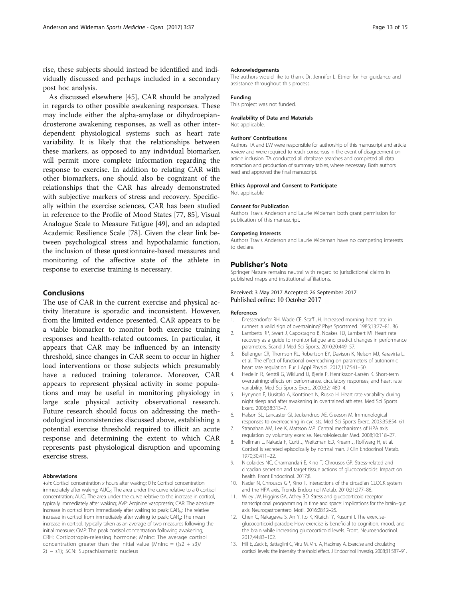<span id="page-13-0"></span>rise, these subjects should instead be identified and individually discussed and perhaps included in a secondary post hoc analysis.

As discussed elsewhere [\[45](#page-14-0)], CAR should be analyzed in regards to other possible awakening responses. These may include either the alpha-amylase or dihydroepiandrosterone awakening responses, as well as other interdependent physiological systems such as heart rate variability. It is likely that the relationships between these markers, as opposed to any individual biomarker, will permit more complete information regarding the response to exercise. In addition to relating CAR with other biomarkers, one should also be cognizant of the relationships that the CAR has already demonstrated with subjective markers of stress and recovery. Specifically within the exercise sciences, CAR has been studied in reference to the Profile of Mood States [[77, 85](#page-15-0)], Visual Analogue Scale to Measure Fatigue [[49\]](#page-14-0), and an adapted Academic Resilience Scale [\[78](#page-15-0)]. Given the clear link between psychological stress and hypothalamic function, the inclusion of these questionnaire-based measures and monitoring of the affective state of the athlete in response to exercise training is necessary.

# Conclusions

The use of CAR in the current exercise and physical activity literature is sporadic and inconsistent. However, from the limited evidence presented, CAR appears to be a viable biomarker to monitor both exercise training responses and health-related outcomes. In particular, it appears that CAR may be influenced by an intensity threshold, since changes in CAR seem to occur in higher load interventions or those subjects which presumably have a reduced training tolerance. Moreover, CAR appears to represent physical activity in some populations and may be useful in monitoring physiology in large scale physical activity observational research. Future research should focus on addressing the methodological inconsistencies discussed above, establishing a potential exercise threshold required to illicit an acute response and determining the extent to which CAR represents past physiological disruption and upcoming exercise stress.

#### Abbreviations

+xh: Cortisol concentration x hours after waking; 0 h: Cortisol concentration immediately after waking; AUC<sub>q</sub>: The area under the curve relative to a 0 cortisol concentration; AUC<sub>i</sub>: The area under the curve relative to the increase in cortisol, typically immediately after waking; AVP: Arginine vasopressin; CAR: The absolute increase in cortisol from immediately after waking to peak; CAR<sub>%</sub>: The relative increase in cortisol from immediately after waking to peak;  $CAR_{\mu}$ : The mean increase in cortisol, typically taken as an average of two measures following the initial measure; CMP: The peak cortisol concentration following awakening; CRH: Corticotropin-releasing hormone; MnInc: The average cortisol concentration greater than the initial value (MnInc =  $((s2 + s3)/$ 2) − s1); SCN: Suprachiasmatic nucleus

#### Acknowledgements

The authors would like to thank Dr. Jennifer L. Etnier for her guidance and assistance throughout this process.

#### Funding

This project was not funded.

#### Availability of Data and Materials

Not applicable.

#### Authors' Contributions

Authors TA and LW were responsible for authorship of this manuscript and article review and were required to reach consensus in the event of disagreement on article inclusion. TA conducted all database searches and completed all data extraction and production of summary tables, where necessary. Both authors read and approved the final manuscript.

#### Ethics Approval and Consent to Participate

Not applicable

#### Consent for Publication

Authors Travis Anderson and Laurie Wideman both grant permission for publication of this manuscript.

#### Competing Interests

Authors Travis Anderson and Laurie Wideman have no competing interests to declare.

### Publisher's Note

Springer Nature remains neutral with regard to jurisdictional claims in published maps and institutional affiliations.

## Received: 3 May 2017 Accepted: 26 September 2017 Published online: 10 October 2017

#### References

- 1. Dressendorfer RH, Wade CE, Scaff JH. Increased morning heart rate in runners: a valid sign of overtraining? Phys Sportsmed. 1985;13:77–81. 86
- 2. Lamberts RP, Swart J, Capostagno B, Noakes TD, Lambert MI. Heart rate recovery as a guide to monitor fatigue and predict changes in performance parameters. Scand J Med Sci Sports. 2010;20:449–57.
- 3. Bellenger CR, Thomson RL, Robertson EY, Davison K, Nelson MJ, Karavirta L, et al. The effect of functional overreaching on parameters of autonomic heart rate regulation. Eur J Appl Physiol. 2017;117:541–50.
- 4. Hedelin R, Kenttä G, Wiklund U, Bjerle P, Henriksson-Larsén K. Short-term overtraining: effects on performance, circulatory responses, and heart rate variability. Med Sci Sports Exerc. 2000;32:1480–4.
- 5. Hynynen E, Uusitalo A, Konttinen N, Rusko H. Heart rate variability during night sleep and after awakening in overtrained athletes. Med Sci Sports Exerc. 2006;38:313–7.
- 6. Halson SL, Lancaster GI, Jeukendrup AE, Gleeson M. Immunological responses to overreaching in cyclists. Med Sci Sports Exerc. 2003;35:854–61.
- 7. Stranahan AM, Lee K, Mattson MP. Central mechanisms of HPA axis regulation by voluntary exercise. NeuroMolecular Med. 2008;10:118–27.
- 8. Hellman L, Nakada F, Curti J, Weitzman ED, Kream J, Roffwarg H, et al. Cortisol is secreted episodically by normal man. J Clin Endocrinol Metab. 1970;30:411–22.
- 9. Nicolaides NC, Charmandari E, Kino T, Chrousos GP. Stress-related and circadian secretion and target tissue actions of glucocorticoids: Impact on health. Front Endocrinol. 2017;8.
- 10. Nader N, Chrousos GP, Kino T, Interactions of the circadian CLOCK system and the HPA axis. Trends Endocrinol Metab. 2010;21:277–86.
- 11. Wiley JW, Higgins GA, Athey BD. Stress and glucocorticoid receptor transcriptional programming in time and space: implications for the brain–gut axis. Neurogastroenterol Motil. 2016;28:12–25.
- 12. Chen C, Nakagawa S, An Y, Ito K, Kitaichi Y, Kusumi I. The exerciseglucocorticoid paradox: How exercise is beneficial to cognition, mood, and the brain while increasing glucocorticoid levels. Front. Neuroendocrinol. 2017;44:83–102.
- 13. Hill E, Zack E, Battaglini C, Viru M, Viru A, Hackney A. Exercise and circulating cortisol levels: the intensity threshold effect. J Endocrinol Investig. 2008;31:587–91.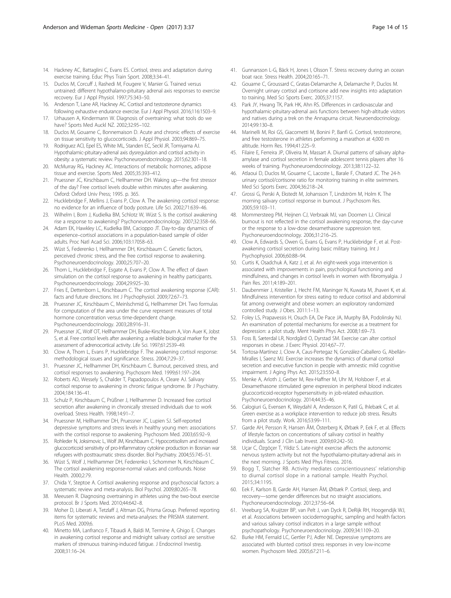- <span id="page-14-0"></span>14. Hackney AC, Battaglini C, Evans ES. Cortisol, stress and adaptation during exercise training. Educ Phys Train Sport. 2008;3:34–41.
- 15. Duclos M, Corcuff J, Rashedi M, Fougere V, Manier G. Trained versus untrained: different hypothalamo-pituitary adrenal axis responses to exercise recovery. Eur J Appl Physiol. 1997;75:343–50.
- 16. Anderson T, Lane AR, Hackney AC. Cortisol and testosterone dynamics following exhaustive endurance exercise. Eur J Appl Physiol. 2016;116:1503–9.
- 17. Urhausen A, Kindermann W. Diagnosis of overtraining: what tools do we have? Sports Med Auckl NZ. 2002;32:95–102.
- 18. Duclos M, Gouarne C, Bonnemaison D. Acute and chronic effects of exercise on tissue sensitivity to glucocorticoids. J Appl Physiol. 2003;94:869–75.
- 19. Rodriguez ACI, Epel ES, White ML, Standen EC, Seckl JR, Tomiyama AJ. Hypothalamic-pituitary-adrenal axis dysregulation and cortisol activity in obesity: a systematic review. Psychoneuroendocrinology. 2015;62:301–18.
- 20. McMurray RG, Hackney AC. Interactions of metabolic hormones, adipose tissue and exercise. Sports Med. 2005;35:393–412.
- 21. Pruessner JC, Kirschbaum C, Hellhammer DH. Waking up—the first stressor of the day? Free cortisol levels double within minutes after awakening. Oxford: Oxford Univ Press; 1995. p. 365.
- 22. Hucklebridge F, Mellins J, Evans P, Clow A. The awakening cortisol response: no evidence for an influence of body posture. Life Sci. 2002;71:639–46.
- 23. Wilhelm I, Born J, Kudielka BM, Schlotz W, Wüst S. Is the cortisol awakening rise a response to awakening? Psychoneuroendocrinology. 2007;32:358–66.
- 24. Adam EK, Hawkley LC, Kudielka BM, Cacioppo JT. Day-to-day dynamics of experience–cortisol associations in a population-based sample of older adults. Proc Natl Acad Sci. 2006;103:17058–63.
- 25. Wüst S, Federenko I, Hellhammer DH, Kirschbaum C. Genetic factors, perceived chronic stress, and the free cortisol response to awakening. Psychoneuroendocrinology. 2000;25:707–20.
- 26. Thorn L, Hucklebridge F, Esgate A, Evans P, Clow A. The effect of dawn simulation on the cortisol response to awakening in healthy participants. Psychoneuroendocrinology. 2004;29:925–30.
- 27. Fries E, Dettenborn L, Kirschbaum C. The cortisol awakening response (CAR): facts and future directions. Int J Psychophysiol. 2009;72:67–73.
- 28. Pruessner JC, Kirschbaum C, Meinlschmid G, Hellhammer DH. Two formulas for computation of the area under the curve represent measures of total hormone concentration versus time-dependent change. Psychoneuroendocrinology. 2003;28:916–31.
- 29. Pruessner JC, Wolf OT, Hellhammer DH, Buske-Kirschbaum A, Von Auer K, Jobst S, et al. Free cortisol levels after awakening: a reliable biological marker for the assessment of adrenocortical activity. Life Sci. 1997;61:2539–49.
- 30. Clow A, Thorn L, Evans P, Hucklebridge F. The awakening cortisol response: methodological issues and significance. Stress. 2004;7:29–37.
- 31. Pruessner JC, Hellhammer DH, Kirschbaum C. Burnout, perceived stress, and cortisol responses to awakening. Psychosom Med. 1999;61:197–204.
- 32. Roberts AD, Wessely S, Chalder T, Papadopoulos A, Cleare AJ. Salivary cortisol response to awakening in chronic fatigue syndrome. Br J Psychiatry. 2004;184:136–41.
- 33. Schulz P, Kirschbaum C, Prüßner J, Hellhammer D. Increased free cortisol secretion after awakening in chronically stressed individuals due to work overload. Stress Health. 1998;14:91–7.
- 34. Pruessner M, Hellhammer DH, Pruessner JC, Lupien SJ. Self-reported depressive symptoms and stress levels in healthy young men: associations with the cortisol response to awakening. Psychosom Med. 2003;65:92–9.
- 35. Rohleder N, Joksimovic L, Wolf JM, Kirschbaum C. Hypocortisolism and increased glucocorticoid sensitivity of pro-Inflammatory cytokine production in Bosnian war refugees with posttraumatic stress disorder. Biol Psychiatry. 2004;55:745–51.
- 36. Wüst S, Wolf J, Hellhammer DH, Federenko I, Schommer N, Kirschbaum C. The cortisol awakening response-normal values and confounds. Noise Health. 2000;2:79.
- 37. Chida Y, Steptoe A. Cortisol awakening response and psychosocial factors: a systematic review and meta-analysis. Biol Psychol. 2009;80:265–78.
- Meeusen R. Diagnosing overtraining in athletes using the two-bout exercise protocol. Br J Sports Med. 2010;44:642–8.
- 39. Moher D, Liberati A, Tetzlaff J, Altman DG, Prisma Group. Preferred reporting items for systematic reviews and meta-analyses: the PRISMA statement. PLoS Med. 2009;6.
- 40. Minetto MA, Lanfranco F, Tibaudi A, Baldi M, Termine A, Ghigo E. Changes in awakening cortisol response and midnight salivary cortisol are sensitive markers of strenuous training-induced fatigue. J Endocrinol Investig. 2008;31:16–24.
- 41. Gunnarsson L-G, Bäck H, Jones I, Olsson T. Stress recovery during an ocean boat race. Stress Health. 2004;20:165–71.
- 42. Gouarne C, Groussard C, Gratas-Delamarche A, Delamarche P, Duclos M. Overnight urinary cortisol and cortisone add new insights into adaptation to training. Med Sci Sports Exerc. 2005;37:1157.
- 43. Park JY, Hwang TK, Park HK, Ahn RS. Differences in cardiovascular and hypothalamic-pituitary-adrenal axis functions between high-altitude visitors and natives during a trek on the Annapurna circuit. Neuroendocrinology. 2014;99:130–8.
- 44. Marinelli M, Roi GS, Giacometti M, Bonini P, Banfi G. Cortisol, testosterone, and free testosterone in athletes performing a marathon at 4,000 m altitude. Horm Res. 1994;41:225–9.
- 45. Filaire E, Ferreira JP, Oliveira M, Massart A. Diurnal patterns of salivary alphaamylase and cortisol secretion in female adolescent tennis players after 16 weeks of training. Psychoneuroendocrinology. 2013;38:1122–32.
- 46. Atlaoui D, Duclos M, Gouarne C, Lacoste L, Barale F, Chatard JC. The 24-h urinary cortisol/cortisone ratio for monitoring training in elite swimmers. Med Sci Sports Exerc. 2004;36:218–24.
- 47. Grossi G, Perski A, Ekstedt M, Johansson T, Lindström M, Holm K. The morning salivary cortisol response in burnout. J Psychosom Res. 2005;59:103–11.
- 48. Mommersteeg PM, Heijnen CJ, Verbraak MJ, van Doornen LJ. Clinical burnout is not reflected in the cortisol awakening response, the day-curve or the response to a low-dose dexamethasone suppression test. Psychoneuroendocrinology. 2006;31:216–25.
- 49. Clow A, Edwards S, Owen G, Evans G, Evans P, Hucklebridge F, et al. Postawakening cortisol secretion during basic military training. Int J Psychophysiol. 2006;60:88–94.
- 50. Curtis K, Osadchuk A, Katz J, et al. An eight-week yoga intervention is associated with improvements in pain, psychological functioning and mindfulness, and changes in cortisol levels in women with fibromyalgia. J Pain Res. 2011;4:189–201.
- 51. Daubenmier J, Kristeller J, Hecht FM, Maninger N, Kuwata M, Jhaveri K, et al. Mindfulness intervention for stress eating to reduce cortisol and abdominal fat among overweight and obese women: an exploratory randomized controlled study. J Obes. 2011:1–13.
- 52. Foley LS, Prapavessis H, Osuch EA, De Pace JA, Murphy BA, Podolinsky NJ. An examination of potential mechanisms for exercise as a treatment for depression: a pilot study. Ment Health Phys Act. 2008;1:69–73.
- 53. Foss B, Sæterdal LR, Nordgård O, Dyrstad SM. Exercise can alter cortisol responses in obese. J Exerc Physiol. 2014;67–77.
- 54. Tortosa-Martínez J, Clow A, Caus-Pertegaz N, González-Caballero G, Abellán-Miralles I, Saenz MJ. Exercise increases the dynamics of diurnal cortisol secretion and executive function in people with amnestic mild cognitive impairment. J Aging Phys Act. 2015;23:550–8.
- 55. Menke A, Arloth J, Gerber M, Rex-Haffner M, Uhr M, Holsboer F, et al. Dexamethasone stimulated gene expression in peripheral blood indicates glucocorticoid-receptor hypersensitivity in job-related exhaustion. Psychoneuroendocrinology. 2014;44:35–46.
- 56. Calogiuri G, Evensen K, Weydahl A, Andersson K, Patil G, Ihlebæk C, et al. Green exercise as a workplace intervention to reduce job stress. Results from a pilot study. Work. 2016;53:99–111.
- 57. Garde AH, Persson R, Hansen ÅM, Österberg K, Ørbæk P, Eek F, et al. Effects of lifestyle factors on concentrations of salivary cortisol in healthy individuals. Scand J Clin Lab Invest. 2009;69:242–50.
- 58. Uçar C, Özgöçer T, Yildiz S. Late-night exercise affects the autonomic nervous system activity but not the hypothalamo-pituitary-adrenal axis in the next morning. J Sports Med Phys Fitness. 2016.
- 59. Bogg T, Slatcher RB. Activity mediates conscientiousness' relationship to diurnal cortisol slope in a national sample. Health Psychol. 2015;34:1195.
- 60. Eek F, Karlson B, Garde AH, Hansen ÅM, Ørbæk P. Cortisol, sleep, and recovery—some gender differences but no straight associations. Psychoneuroendocrinology. 2012;37:56–64.
- 61. Vreeburg SA, Kruijtzer BP, van Pelt J, van Dyck R, DeRijk RH, Hoogendijk WJ, et al. Associations between sociodemographic, sampling and health factors and various salivary cortisol indicators in a large sample without psychopathology. Psychoneuroendocrinology. 2009;34:1109–20.
- 62. Burke HM, Fernald LC, Gertler PJ, Adler NE. Depressive symptoms are associated with blunted cortisol stress responses in very low-income women. Psychosom Med. 2005;67:211–6.